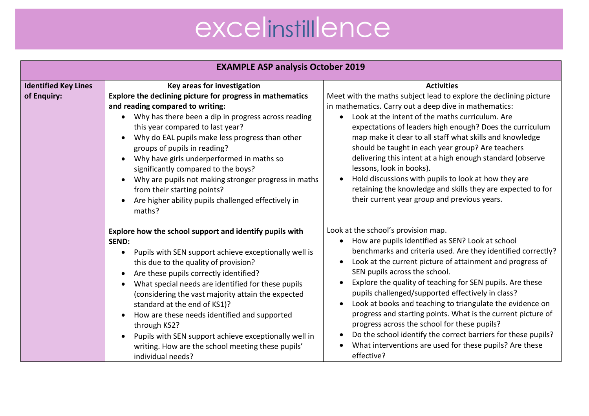| <b>EXAMPLE ASP analysis October 2019</b>   |                                                                                                                                                                                                                                                                                                                                                                                                                                                                                                                                                                     |                                                                                                                                                                                                                                                                                                                                                                                                                                                                                                                                                                                                                                                                                                                          |
|--------------------------------------------|---------------------------------------------------------------------------------------------------------------------------------------------------------------------------------------------------------------------------------------------------------------------------------------------------------------------------------------------------------------------------------------------------------------------------------------------------------------------------------------------------------------------------------------------------------------------|--------------------------------------------------------------------------------------------------------------------------------------------------------------------------------------------------------------------------------------------------------------------------------------------------------------------------------------------------------------------------------------------------------------------------------------------------------------------------------------------------------------------------------------------------------------------------------------------------------------------------------------------------------------------------------------------------------------------------|
| <b>Identified Key Lines</b><br>of Enquiry: | Key areas for investigation<br>Explore the declining picture for progress in mathematics<br>and reading compared to writing:<br>Why has there been a dip in progress across reading<br>$\bullet$<br>this year compared to last year?<br>Why do EAL pupils make less progress than other<br>groups of pupils in reading?<br>Why have girls underperformed in maths so<br>significantly compared to the boys?<br>Why are pupils not making stronger progress in maths<br>from their starting points?<br>Are higher ability pupils challenged effectively in<br>maths? | <b>Activities</b><br>Meet with the maths subject lead to explore the declining picture<br>in mathematics. Carry out a deep dive in mathematics:<br>• Look at the intent of the maths curriculum. Are<br>expectations of leaders high enough? Does the curriculum<br>map make it clear to all staff what skills and knowledge<br>should be taught in each year group? Are teachers<br>delivering this intent at a high enough standard (observe<br>lessons, look in books).<br>Hold discussions with pupils to look at how they are<br>$\bullet$<br>retaining the knowledge and skills they are expected to for<br>their current year group and previous years.                                                           |
|                                            | Explore how the school support and identify pupils with<br><b>SEND:</b><br>Pupils with SEN support achieve exceptionally well is<br>this due to the quality of provision?<br>Are these pupils correctly identified?<br>What special needs are identified for these pupils<br>(considering the vast majority attain the expected<br>standard at the end of KS1)?<br>How are these needs identified and supported<br>through KS2?<br>Pupils with SEN support achieve exceptionally well in<br>writing. How are the school meeting these pupils'<br>individual needs?  | Look at the school's provision map.<br>How are pupils identified as SEN? Look at school<br>$\bullet$<br>benchmarks and criteria used. Are they identified correctly?<br>Look at the current picture of attainment and progress of<br>SEN pupils across the school.<br>Explore the quality of teaching for SEN pupils. Are these<br>pupils challenged/supported effectively in class?<br>Look at books and teaching to triangulate the evidence on<br>$\bullet$<br>progress and starting points. What is the current picture of<br>progress across the school for these pupils?<br>Do the school identify the correct barriers for these pupils?<br>What interventions are used for these pupils? Are these<br>effective? |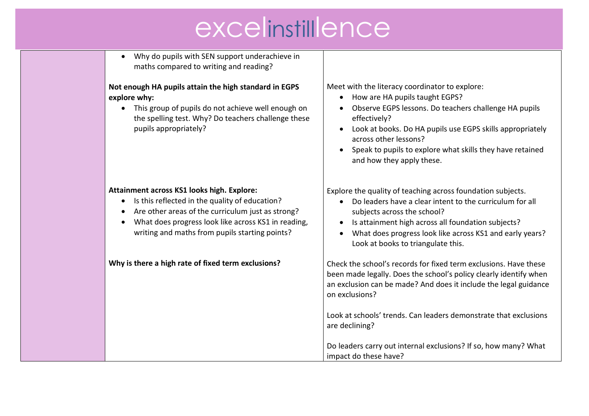• Why do pupils with SEN support underachieve in maths compared to writing and reading?

#### **Not enough HA pupils attain the high standard in EGPS explore why:**

• This group of pupils do not achieve well enough on the spelling test. Why? Do teachers challenge these pupils appropriately?

#### **Attainment across KS1 looks high. Explore:**

- Is this reflected in the quality of education?
- Are other areas of the curriculum just as strong?
- What does progress look like across KS1 in reading, writing and maths from pupils starting points?

**Why is there a high rate of fixed term exclusions?**

Meet with the literacy coordinator to explore:

- How are HA pupils taught EGPS?
- Observe EGPS lessons. Do teachers challenge HA pupils effectively?
- Look at books. Do HA pupils use EGPS skills appropriately across other lessons?
- Speak to pupils to explore what skills they have retained and how they apply these.

Explore the quality of teaching across foundation subjects.

- Do leaders have a clear intent to the curriculum for all subjects across the school?
- Is attainment high across all foundation subjects?
- What does progress look like across KS1 and early years? Look at books to triangulate this.

Check the school's records for fixed term exclusions. Have these been made legally. Does the school's policy clearly identify when an exclusion can be made? And does it include the legal guidance on exclusions?

Look at schools' trends. Can leaders demonstrate that exclusions are declining?

Do leaders carry out internal exclusions? If so, how many? What impact do these have?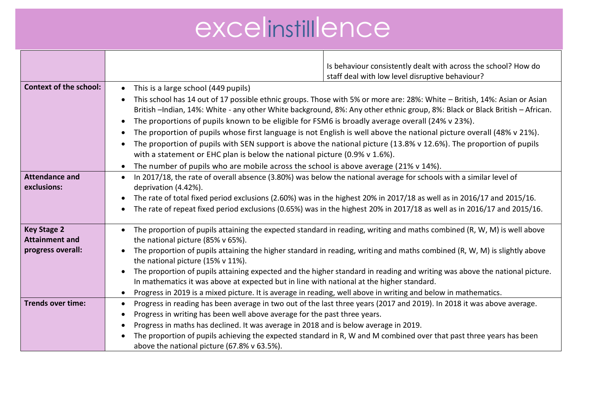|                               | Is behaviour consistently dealt with across the school? How do                                                                         |  |
|-------------------------------|----------------------------------------------------------------------------------------------------------------------------------------|--|
|                               | staff deal with low level disruptive behaviour?                                                                                        |  |
| <b>Context of the school:</b> | This is a large school (449 pupils)<br>$\bullet$                                                                                       |  |
|                               | This school has 14 out of 17 possible ethnic groups. Those with 5% or more are: 28%: White - British, 14%: Asian or Asian              |  |
|                               | British -Indian, 14%: White - any other White background, 8%: Any other ethnic group, 8%: Black or Black British - African.            |  |
|                               | The proportions of pupils known to be eligible for FSM6 is broadly average overall (24% v 23%).                                        |  |
|                               | $\bullet$                                                                                                                              |  |
|                               | The proportion of pupils whose first language is not English is well above the national picture overall (48% v 21%).<br>$\bullet$      |  |
|                               | The proportion of pupils with SEN support is above the national picture (13.8% v 12.6%). The proportion of pupils                      |  |
|                               | with a statement or EHC plan is below the national picture (0.9% v $1.6\%$ ).                                                          |  |
|                               | The number of pupils who are mobile across the school is above average (21% v 14%).<br>$\bullet$                                       |  |
| <b>Attendance and</b>         | In 2017/18, the rate of overall absence (3.80%) was below the national average for schools with a similar level of<br>$\bullet$        |  |
| exclusions:                   | deprivation (4.42%).                                                                                                                   |  |
|                               | The rate of total fixed period exclusions (2.60%) was in the highest 20% in 2017/18 as well as in 2016/17 and 2015/16.<br>$\bullet$    |  |
|                               | The rate of repeat fixed period exclusions (0.65%) was in the highest 20% in 2017/18 as well as in 2016/17 and 2015/16.                |  |
|                               |                                                                                                                                        |  |
| <b>Key Stage 2</b>            | The proportion of pupils attaining the expected standard in reading, writing and maths combined (R, W, M) is well above                |  |
| <b>Attainment and</b>         | the national picture (85% v 65%).                                                                                                      |  |
| progress overall:             | The proportion of pupils attaining the higher standard in reading, writing and maths combined (R, W, M) is slightly above<br>$\bullet$ |  |
|                               | the national picture (15% v 11%).                                                                                                      |  |
|                               | The proportion of pupils attaining expected and the higher standard in reading and writing was above the national picture.             |  |
|                               | In mathematics it was above at expected but in line with national at the higher standard.                                              |  |
|                               | Progress in 2019 is a mixed picture. It is average in reading, well above in writing and below in mathematics.<br>$\bullet$            |  |
| <b>Trends over time:</b>      | Progress in reading has been average in two out of the last three years (2017 and 2019). In 2018 it was above average.<br>$\bullet$    |  |
|                               | Progress in writing has been well above average for the past three years.<br>٠                                                         |  |
|                               | Progress in maths has declined. It was average in 2018 and is below average in 2019.<br>$\bullet$                                      |  |
|                               | The proportion of pupils achieving the expected standard in R, W and M combined over that past three years has been                    |  |
|                               | above the national picture (67.8% v 63.5%).                                                                                            |  |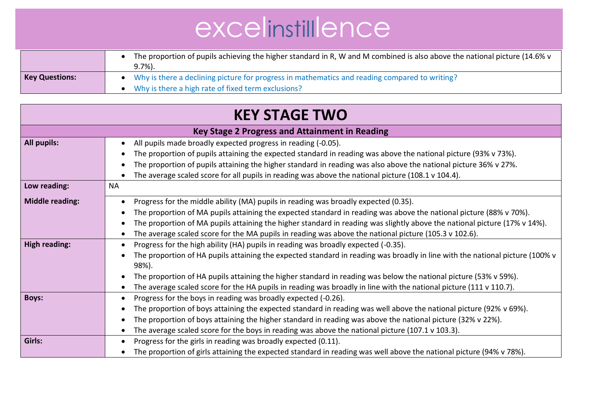|                       | The proportion of pupils achieving the higher standard in R, W and M combined is also above the national picture (14.6% v<br>$9.7\%$ ).                 |
|-----------------------|---------------------------------------------------------------------------------------------------------------------------------------------------------|
| <b>Key Questions:</b> | • Why is there a declining picture for progress in mathematics and reading compared to writing?<br>• Why is there a high rate of fixed term exclusions? |

| <b>KEY STAGE TWO</b>                                  |                                                                                                                                                                                                                                                                                                                                                                                                                                                                       |
|-------------------------------------------------------|-----------------------------------------------------------------------------------------------------------------------------------------------------------------------------------------------------------------------------------------------------------------------------------------------------------------------------------------------------------------------------------------------------------------------------------------------------------------------|
| <b>Key Stage 2 Progress and Attainment in Reading</b> |                                                                                                                                                                                                                                                                                                                                                                                                                                                                       |
| <b>All pupils:</b>                                    | All pupils made broadly expected progress in reading (-0.05).<br>The proportion of pupils attaining the expected standard in reading was above the national picture (93% v 73%).<br>The proportion of pupils attaining the higher standard in reading was also above the national picture 36% v 27%.<br>The average scaled score for all pupils in reading was above the national picture (108.1 v 104.4).                                                            |
| Low reading:                                          | <b>NA</b>                                                                                                                                                                                                                                                                                                                                                                                                                                                             |
| <b>Middle reading:</b>                                | Progress for the middle ability (MA) pupils in reading was broadly expected (0.35).<br>The proportion of MA pupils attaining the expected standard in reading was above the national picture (88% v 70%).<br>The proportion of MA pupils attaining the higher standard in reading was slightly above the national picture (17% v 14%).<br>The average scaled score for the MA pupils in reading was above the national picture (105.3 v 102.6).                       |
| <b>High reading:</b>                                  | Progress for the high ability (HA) pupils in reading was broadly expected (-0.35).<br>The proportion of HA pupils attaining the expected standard in reading was broadly in line with the national picture (100% v<br>98%).<br>The proportion of HA pupils attaining the higher standard in reading was below the national picture (53% v 59%).<br>The average scaled score for the HA pupils in reading was broadly in line with the national picture (111 v 110.7). |
| <b>Boys:</b>                                          | Progress for the boys in reading was broadly expected (-0.26).<br>The proportion of boys attaining the expected standard in reading was well above the national picture (92% v 69%).<br>The proportion of boys attaining the higher standard in reading was above the national picture (32% v 22%).<br>The average scaled score for the boys in reading was above the national picture (107.1 v 103.3).                                                               |
| Girls:                                                | Progress for the girls in reading was broadly expected (0.11).<br>The proportion of girls attaining the expected standard in reading was well above the national picture (94% v 78%).                                                                                                                                                                                                                                                                                 |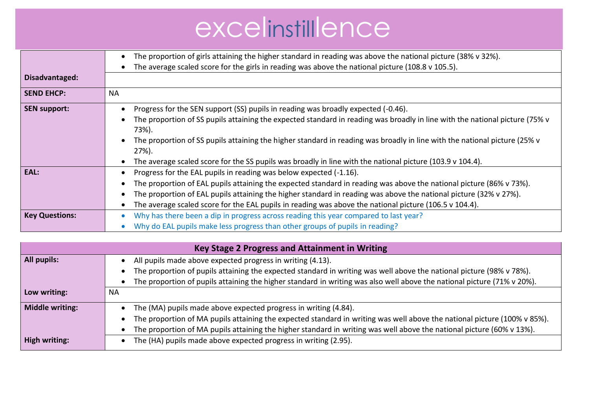|                       | The proportion of girls attaining the higher standard in reading was above the national picture (38% v 32%).                         |
|-----------------------|--------------------------------------------------------------------------------------------------------------------------------------|
|                       | The average scaled score for the girls in reading was above the national picture (108.8 $\vee$ 105.5).                               |
| Disadvantaged:        |                                                                                                                                      |
| <b>SEND EHCP:</b>     | <b>NA</b>                                                                                                                            |
| <b>SEN support:</b>   | Progress for the SEN support (SS) pupils in reading was broadly expected (-0.46).                                                    |
|                       | The proportion of SS pupils attaining the expected standard in reading was broadly in line with the national picture (75% v<br>73%). |
|                       | The proportion of SS pupils attaining the higher standard in reading was broadly in line with the national picture (25% v<br>27%).   |
|                       | The average scaled score for the SS pupils was broadly in line with the national picture (103.9 v 104.4).                            |
| EAL:                  | Progress for the EAL pupils in reading was below expected (-1.16).                                                                   |
|                       | The proportion of EAL pupils attaining the expected standard in reading was above the national picture (86% v 73%).                  |
|                       | The proportion of EAL pupils attaining the higher standard in reading was above the national picture (32% v 27%).                    |
|                       | The average scaled score for the EAL pupils in reading was above the national picture (106.5 v 104.4).                               |
| <b>Key Questions:</b> | Why has there been a dip in progress across reading this year compared to last year?                                                 |
|                       | Why do EAL pupils make less progress than other groups of pupils in reading?                                                         |

| Key Stage 2 Progress and Attainment in Writing |                                                                                                                          |
|------------------------------------------------|--------------------------------------------------------------------------------------------------------------------------|
| All pupils:                                    | All pupils made above expected progress in writing (4.13).                                                               |
|                                                | The proportion of pupils attaining the expected standard in writing was well above the national picture (98% v 78%).     |
|                                                | The proportion of pupils attaining the higher standard in writing was also well above the national picture (71% v 20%).  |
| Low writing:                                   | <b>NA</b>                                                                                                                |
| <b>Middle writing:</b>                         | The (MA) pupils made above expected progress in writing (4.84).                                                          |
|                                                | The proportion of MA pupils attaining the expected standard in writing was well above the national picture (100% v 85%). |
|                                                | The proportion of MA pupils attaining the higher standard in writing was well above the national picture (60% v 13%).    |
| High writing:                                  | The (HA) pupils made above expected progress in writing (2.95).                                                          |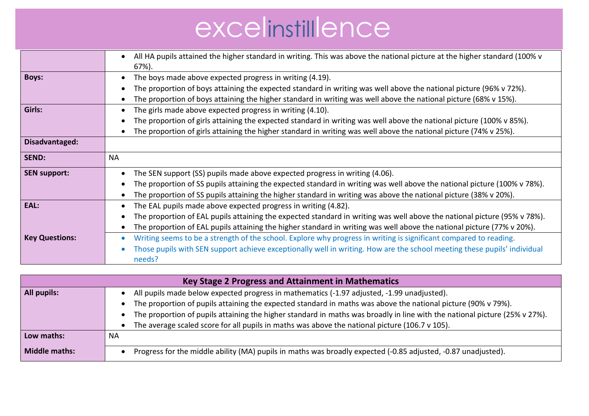|                       | All HA pupils attained the higher standard in writing. This was above the national picture at the higher standard (100% v |  |
|-----------------------|---------------------------------------------------------------------------------------------------------------------------|--|
|                       | 67%).                                                                                                                     |  |
|                       |                                                                                                                           |  |
| <b>Boys:</b>          | The boys made above expected progress in writing (4.19).                                                                  |  |
|                       | The proportion of boys attaining the expected standard in writing was well above the national picture (96% v 72%).        |  |
|                       | The proportion of boys attaining the higher standard in writing was well above the national picture (68% v 15%).          |  |
| Girls:                | The girls made above expected progress in writing (4.10).                                                                 |  |
|                       | The proportion of girls attaining the expected standard in writing was well above the national picture (100% v 85%).      |  |
|                       | The proportion of girls attaining the higher standard in writing was well above the national picture (74% v 25%).         |  |
| Disadvantaged:        |                                                                                                                           |  |
| <b>SEND:</b>          | <b>NA</b>                                                                                                                 |  |
|                       |                                                                                                                           |  |
| <b>SEN support:</b>   | The SEN support (SS) pupils made above expected progress in writing (4.06).                                               |  |
|                       | The proportion of SS pupils attaining the expected standard in writing was well above the national picture (100% v 78%).  |  |
|                       | The proportion of SS pupils attaining the higher standard in writing was above the national picture (38% v 20%).          |  |
| EAL:                  | The EAL pupils made above expected progress in writing (4.82).                                                            |  |
|                       | The proportion of EAL pupils attaining the expected standard in writing was well above the national picture (95% v 78%).  |  |
|                       | The proportion of EAL pupils attaining the higher standard in writing was well above the national picture (77% v 20%).    |  |
| <b>Key Questions:</b> | Writing seems to be a strength of the school. Explore why progress in writing is significant compared to reading.         |  |
|                       | Those pupils with SEN support achieve exceptionally well in writing. How are the school meeting these pupils' individual  |  |
|                       |                                                                                                                           |  |
|                       | needs?                                                                                                                    |  |

| Key Stage 2 Progress and Attainment in Mathematics |                                                                                                                            |
|----------------------------------------------------|----------------------------------------------------------------------------------------------------------------------------|
| All pupils:                                        | All pupils made below expected progress in mathematics (-1.97 adjusted, -1.99 unadjusted).                                 |
|                                                    | The proportion of pupils attaining the expected standard in maths was above the national picture (90% v 79%).              |
|                                                    | The proportion of pupils attaining the higher standard in maths was broadly in line with the national picture (25% v 27%). |
|                                                    | The average scaled score for all pupils in maths was above the national picture (106.7 $v$ 105).                           |
| Low maths:                                         | <b>NA</b>                                                                                                                  |
| <b>Middle maths:</b>                               | Progress for the middle ability (MA) pupils in maths was broadly expected (-0.85 adjusted, -0.87 unadjusted).              |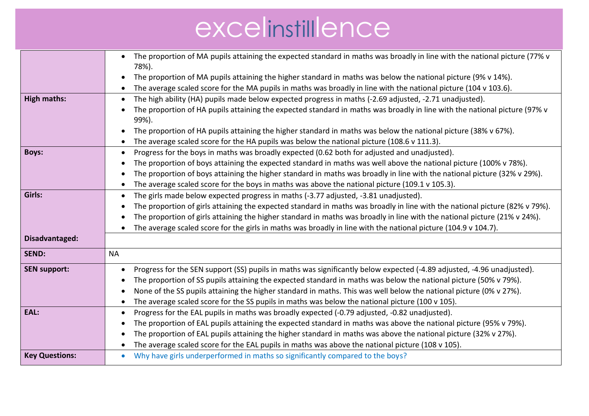|                       | The proportion of MA pupils attaining the expected standard in maths was broadly in line with the national picture (77% v<br>$\bullet$<br>78%). |
|-----------------------|-------------------------------------------------------------------------------------------------------------------------------------------------|
|                       | The proportion of MA pupils attaining the higher standard in maths was below the national picture (9% v 14%).                                   |
|                       | The average scaled score for the MA pupils in maths was broadly in line with the national picture (104 v 103.6).                                |
| High maths:           | The high ability (HA) pupils made below expected progress in maths (-2.69 adjusted, -2.71 unadjusted).                                          |
|                       | The proportion of HA pupils attaining the expected standard in maths was broadly in line with the national picture (97% v<br>99%).              |
|                       | The proportion of HA pupils attaining the higher standard in maths was below the national picture (38% v 67%).                                  |
|                       | The average scaled score for the HA pupils was below the national picture (108.6 v 111.3).                                                      |
| <b>Boys:</b>          | Progress for the boys in maths was broadly expected (0.62 both for adjusted and unadjusted).<br>$\bullet$                                       |
|                       | The proportion of boys attaining the expected standard in maths was well above the national picture (100% v 78%).                               |
|                       | The proportion of boys attaining the higher standard in maths was broadly in line with the national picture (32% v 29%).                        |
|                       | The average scaled score for the boys in maths was above the national picture (109.1 v 105.3).                                                  |
| Girls:                | The girls made below expected progress in maths (-3.77 adjusted, -3.81 unadjusted).                                                             |
|                       | The proportion of girls attaining the expected standard in maths was broadly in line with the national picture (82% v 79%).                     |
|                       | The proportion of girls attaining the higher standard in maths was broadly in line with the national picture (21% v 24%).                       |
|                       | The average scaled score for the girls in maths was broadly in line with the national picture (104.9 v 104.7).                                  |
| Disadvantaged:        |                                                                                                                                                 |
| <b>SEND:</b>          | <b>NA</b>                                                                                                                                       |
| <b>SEN support:</b>   | Progress for the SEN support (SS) pupils in maths was significantly below expected (-4.89 adjusted, -4.96 unadjusted).<br>٠                     |
|                       | The proportion of SS pupils attaining the expected standard in maths was below the national picture (50% v 79%).                                |
|                       | None of the SS pupils attaining the higher standard in maths. This was well below the national picture (0% v 27%).                              |
|                       | The average scaled score for the SS pupils in maths was below the national picture (100 v 105).                                                 |
| EAL:                  | Progress for the EAL pupils in maths was broadly expected (-0.79 adjusted, -0.82 unadjusted).                                                   |
|                       | The proportion of EAL pupils attaining the expected standard in maths was above the national picture (95% v 79%).                               |
|                       | The proportion of EAL pupils attaining the higher standard in maths was above the national picture (32% v 27%).                                 |
|                       | The average scaled score for the EAL pupils in maths was above the national picture (108 v 105).                                                |
| <b>Key Questions:</b> | Why have girls underperformed in maths so significantly compared to the boys?<br>$\bullet$                                                      |
|                       |                                                                                                                                                 |